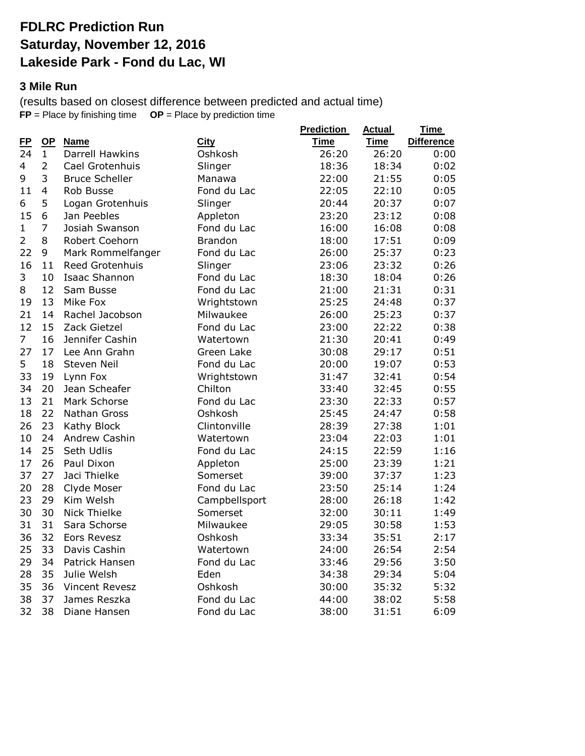## **FDLRC Prediction Run Saturday, November 12, 2016 Lakeside Park - Fond du Lac, WI**

### **3 Mile Run**

(results based on closest difference between predicted and actual time)  $FP = Place$  by finishing time  $OP = Place$  by prediction time

|    |                                                                                                                                                                                                                                               |                                                                                                                                                                                                                                                                                                                                                                                                                                                                                                                                                                                                                          | <b>Prediction</b>                                                                                                                                                                                                                                                                                                                                                                                                                                                        | <b>Actual</b>                                                                                                                                                                                                                                                                                                                 | Time                                                                                                                                                                                                                                                                                                                          |
|----|-----------------------------------------------------------------------------------------------------------------------------------------------------------------------------------------------------------------------------------------------|--------------------------------------------------------------------------------------------------------------------------------------------------------------------------------------------------------------------------------------------------------------------------------------------------------------------------------------------------------------------------------------------------------------------------------------------------------------------------------------------------------------------------------------------------------------------------------------------------------------------------|--------------------------------------------------------------------------------------------------------------------------------------------------------------------------------------------------------------------------------------------------------------------------------------------------------------------------------------------------------------------------------------------------------------------------------------------------------------------------|-------------------------------------------------------------------------------------------------------------------------------------------------------------------------------------------------------------------------------------------------------------------------------------------------------------------------------|-------------------------------------------------------------------------------------------------------------------------------------------------------------------------------------------------------------------------------------------------------------------------------------------------------------------------------|
|    |                                                                                                                                                                                                                                               |                                                                                                                                                                                                                                                                                                                                                                                                                                                                                                                                                                                                                          |                                                                                                                                                                                                                                                                                                                                                                                                                                                                          |                                                                                                                                                                                                                                                                                                                               | <b>Difference</b><br>0:00                                                                                                                                                                                                                                                                                                     |
|    |                                                                                                                                                                                                                                               |                                                                                                                                                                                                                                                                                                                                                                                                                                                                                                                                                                                                                          |                                                                                                                                                                                                                                                                                                                                                                                                                                                                          |                                                                                                                                                                                                                                                                                                                               | 0:02                                                                                                                                                                                                                                                                                                                          |
|    |                                                                                                                                                                                                                                               |                                                                                                                                                                                                                                                                                                                                                                                                                                                                                                                                                                                                                          |                                                                                                                                                                                                                                                                                                                                                                                                                                                                          |                                                                                                                                                                                                                                                                                                                               | 0:05                                                                                                                                                                                                                                                                                                                          |
|    |                                                                                                                                                                                                                                               |                                                                                                                                                                                                                                                                                                                                                                                                                                                                                                                                                                                                                          |                                                                                                                                                                                                                                                                                                                                                                                                                                                                          |                                                                                                                                                                                                                                                                                                                               | 0:05                                                                                                                                                                                                                                                                                                                          |
|    |                                                                                                                                                                                                                                               |                                                                                                                                                                                                                                                                                                                                                                                                                                                                                                                                                                                                                          |                                                                                                                                                                                                                                                                                                                                                                                                                                                                          |                                                                                                                                                                                                                                                                                                                               | 0:07                                                                                                                                                                                                                                                                                                                          |
|    |                                                                                                                                                                                                                                               |                                                                                                                                                                                                                                                                                                                                                                                                                                                                                                                                                                                                                          |                                                                                                                                                                                                                                                                                                                                                                                                                                                                          |                                                                                                                                                                                                                                                                                                                               | 0:08                                                                                                                                                                                                                                                                                                                          |
|    |                                                                                                                                                                                                                                               |                                                                                                                                                                                                                                                                                                                                                                                                                                                                                                                                                                                                                          |                                                                                                                                                                                                                                                                                                                                                                                                                                                                          |                                                                                                                                                                                                                                                                                                                               | 0:08                                                                                                                                                                                                                                                                                                                          |
|    |                                                                                                                                                                                                                                               |                                                                                                                                                                                                                                                                                                                                                                                                                                                                                                                                                                                                                          |                                                                                                                                                                                                                                                                                                                                                                                                                                                                          |                                                                                                                                                                                                                                                                                                                               |                                                                                                                                                                                                                                                                                                                               |
|    |                                                                                                                                                                                                                                               |                                                                                                                                                                                                                                                                                                                                                                                                                                                                                                                                                                                                                          |                                                                                                                                                                                                                                                                                                                                                                                                                                                                          |                                                                                                                                                                                                                                                                                                                               | 0:09<br>0:23                                                                                                                                                                                                                                                                                                                  |
|    |                                                                                                                                                                                                                                               |                                                                                                                                                                                                                                                                                                                                                                                                                                                                                                                                                                                                                          |                                                                                                                                                                                                                                                                                                                                                                                                                                                                          |                                                                                                                                                                                                                                                                                                                               | 0:26                                                                                                                                                                                                                                                                                                                          |
|    |                                                                                                                                                                                                                                               |                                                                                                                                                                                                                                                                                                                                                                                                                                                                                                                                                                                                                          |                                                                                                                                                                                                                                                                                                                                                                                                                                                                          |                                                                                                                                                                                                                                                                                                                               | 0:26                                                                                                                                                                                                                                                                                                                          |
|    |                                                                                                                                                                                                                                               |                                                                                                                                                                                                                                                                                                                                                                                                                                                                                                                                                                                                                          |                                                                                                                                                                                                                                                                                                                                                                                                                                                                          |                                                                                                                                                                                                                                                                                                                               |                                                                                                                                                                                                                                                                                                                               |
|    |                                                                                                                                                                                                                                               |                                                                                                                                                                                                                                                                                                                                                                                                                                                                                                                                                                                                                          |                                                                                                                                                                                                                                                                                                                                                                                                                                                                          |                                                                                                                                                                                                                                                                                                                               | 0:31                                                                                                                                                                                                                                                                                                                          |
|    |                                                                                                                                                                                                                                               |                                                                                                                                                                                                                                                                                                                                                                                                                                                                                                                                                                                                                          |                                                                                                                                                                                                                                                                                                                                                                                                                                                                          |                                                                                                                                                                                                                                                                                                                               | 0:37                                                                                                                                                                                                                                                                                                                          |
|    |                                                                                                                                                                                                                                               |                                                                                                                                                                                                                                                                                                                                                                                                                                                                                                                                                                                                                          |                                                                                                                                                                                                                                                                                                                                                                                                                                                                          |                                                                                                                                                                                                                                                                                                                               | 0:37                                                                                                                                                                                                                                                                                                                          |
|    |                                                                                                                                                                                                                                               |                                                                                                                                                                                                                                                                                                                                                                                                                                                                                                                                                                                                                          |                                                                                                                                                                                                                                                                                                                                                                                                                                                                          |                                                                                                                                                                                                                                                                                                                               | 0:38                                                                                                                                                                                                                                                                                                                          |
|    |                                                                                                                                                                                                                                               |                                                                                                                                                                                                                                                                                                                                                                                                                                                                                                                                                                                                                          |                                                                                                                                                                                                                                                                                                                                                                                                                                                                          |                                                                                                                                                                                                                                                                                                                               | 0:49                                                                                                                                                                                                                                                                                                                          |
|    |                                                                                                                                                                                                                                               |                                                                                                                                                                                                                                                                                                                                                                                                                                                                                                                                                                                                                          |                                                                                                                                                                                                                                                                                                                                                                                                                                                                          |                                                                                                                                                                                                                                                                                                                               | 0:51                                                                                                                                                                                                                                                                                                                          |
|    |                                                                                                                                                                                                                                               |                                                                                                                                                                                                                                                                                                                                                                                                                                                                                                                                                                                                                          |                                                                                                                                                                                                                                                                                                                                                                                                                                                                          |                                                                                                                                                                                                                                                                                                                               | 0:53                                                                                                                                                                                                                                                                                                                          |
|    |                                                                                                                                                                                                                                               |                                                                                                                                                                                                                                                                                                                                                                                                                                                                                                                                                                                                                          |                                                                                                                                                                                                                                                                                                                                                                                                                                                                          |                                                                                                                                                                                                                                                                                                                               | 0:54                                                                                                                                                                                                                                                                                                                          |
|    |                                                                                                                                                                                                                                               |                                                                                                                                                                                                                                                                                                                                                                                                                                                                                                                                                                                                                          |                                                                                                                                                                                                                                                                                                                                                                                                                                                                          |                                                                                                                                                                                                                                                                                                                               | 0:55                                                                                                                                                                                                                                                                                                                          |
|    |                                                                                                                                                                                                                                               |                                                                                                                                                                                                                                                                                                                                                                                                                                                                                                                                                                                                                          |                                                                                                                                                                                                                                                                                                                                                                                                                                                                          |                                                                                                                                                                                                                                                                                                                               | 0:57                                                                                                                                                                                                                                                                                                                          |
|    |                                                                                                                                                                                                                                               |                                                                                                                                                                                                                                                                                                                                                                                                                                                                                                                                                                                                                          |                                                                                                                                                                                                                                                                                                                                                                                                                                                                          |                                                                                                                                                                                                                                                                                                                               | 0:58                                                                                                                                                                                                                                                                                                                          |
|    |                                                                                                                                                                                                                                               |                                                                                                                                                                                                                                                                                                                                                                                                                                                                                                                                                                                                                          |                                                                                                                                                                                                                                                                                                                                                                                                                                                                          |                                                                                                                                                                                                                                                                                                                               | 1:01                                                                                                                                                                                                                                                                                                                          |
|    |                                                                                                                                                                                                                                               |                                                                                                                                                                                                                                                                                                                                                                                                                                                                                                                                                                                                                          |                                                                                                                                                                                                                                                                                                                                                                                                                                                                          |                                                                                                                                                                                                                                                                                                                               | 1:01                                                                                                                                                                                                                                                                                                                          |
|    |                                                                                                                                                                                                                                               |                                                                                                                                                                                                                                                                                                                                                                                                                                                                                                                                                                                                                          |                                                                                                                                                                                                                                                                                                                                                                                                                                                                          |                                                                                                                                                                                                                                                                                                                               | 1:16                                                                                                                                                                                                                                                                                                                          |
|    |                                                                                                                                                                                                                                               |                                                                                                                                                                                                                                                                                                                                                                                                                                                                                                                                                                                                                          |                                                                                                                                                                                                                                                                                                                                                                                                                                                                          |                                                                                                                                                                                                                                                                                                                               | 1:21                                                                                                                                                                                                                                                                                                                          |
|    |                                                                                                                                                                                                                                               |                                                                                                                                                                                                                                                                                                                                                                                                                                                                                                                                                                                                                          |                                                                                                                                                                                                                                                                                                                                                                                                                                                                          |                                                                                                                                                                                                                                                                                                                               | 1:23                                                                                                                                                                                                                                                                                                                          |
|    |                                                                                                                                                                                                                                               |                                                                                                                                                                                                                                                                                                                                                                                                                                                                                                                                                                                                                          |                                                                                                                                                                                                                                                                                                                                                                                                                                                                          |                                                                                                                                                                                                                                                                                                                               | 1:24                                                                                                                                                                                                                                                                                                                          |
|    |                                                                                                                                                                                                                                               |                                                                                                                                                                                                                                                                                                                                                                                                                                                                                                                                                                                                                          |                                                                                                                                                                                                                                                                                                                                                                                                                                                                          |                                                                                                                                                                                                                                                                                                                               | 1:42                                                                                                                                                                                                                                                                                                                          |
|    |                                                                                                                                                                                                                                               |                                                                                                                                                                                                                                                                                                                                                                                                                                                                                                                                                                                                                          |                                                                                                                                                                                                                                                                                                                                                                                                                                                                          |                                                                                                                                                                                                                                                                                                                               | 1:49                                                                                                                                                                                                                                                                                                                          |
|    |                                                                                                                                                                                                                                               |                                                                                                                                                                                                                                                                                                                                                                                                                                                                                                                                                                                                                          |                                                                                                                                                                                                                                                                                                                                                                                                                                                                          |                                                                                                                                                                                                                                                                                                                               | 1:53                                                                                                                                                                                                                                                                                                                          |
|    |                                                                                                                                                                                                                                               |                                                                                                                                                                                                                                                                                                                                                                                                                                                                                                                                                                                                                          |                                                                                                                                                                                                                                                                                                                                                                                                                                                                          |                                                                                                                                                                                                                                                                                                                               | 2:17                                                                                                                                                                                                                                                                                                                          |
|    |                                                                                                                                                                                                                                               |                                                                                                                                                                                                                                                                                                                                                                                                                                                                                                                                                                                                                          |                                                                                                                                                                                                                                                                                                                                                                                                                                                                          |                                                                                                                                                                                                                                                                                                                               | 2:54                                                                                                                                                                                                                                                                                                                          |
|    |                                                                                                                                                                                                                                               | Fond du Lac                                                                                                                                                                                                                                                                                                                                                                                                                                                                                                                                                                                                              |                                                                                                                                                                                                                                                                                                                                                                                                                                                                          |                                                                                                                                                                                                                                                                                                                               | 3:50                                                                                                                                                                                                                                                                                                                          |
|    | Julie Welsh                                                                                                                                                                                                                                   | Eden                                                                                                                                                                                                                                                                                                                                                                                                                                                                                                                                                                                                                     | 34:38                                                                                                                                                                                                                                                                                                                                                                                                                                                                    | 29:34                                                                                                                                                                                                                                                                                                                         | 5:04                                                                                                                                                                                                                                                                                                                          |
| 36 | Vincent Revesz                                                                                                                                                                                                                                | Oshkosh                                                                                                                                                                                                                                                                                                                                                                                                                                                                                                                                                                                                                  | 30:00                                                                                                                                                                                                                                                                                                                                                                                                                                                                    | 35:32                                                                                                                                                                                                                                                                                                                         | 5:32                                                                                                                                                                                                                                                                                                                          |
| 37 | James Reszka                                                                                                                                                                                                                                  | Fond du Lac                                                                                                                                                                                                                                                                                                                                                                                                                                                                                                                                                                                                              | 44:00                                                                                                                                                                                                                                                                                                                                                                                                                                                                    | 38:02                                                                                                                                                                                                                                                                                                                         | 5:58                                                                                                                                                                                                                                                                                                                          |
| 38 | Diane Hansen                                                                                                                                                                                                                                  | Fond du Lac                                                                                                                                                                                                                                                                                                                                                                                                                                                                                                                                                                                                              | 38:00                                                                                                                                                                                                                                                                                                                                                                                                                                                                    | 31:51                                                                                                                                                                                                                                                                                                                         | 6:09                                                                                                                                                                                                                                                                                                                          |
|    | $\mathbf{Q}$<br>$\mathbf{1}$<br>$\overline{2}$<br>3<br>4<br>5<br>6<br>7<br>8<br>9<br>11<br>10<br>12<br>13<br>14<br>15<br>16<br>17<br>18<br>19<br>20<br>21<br>22<br>23<br>24<br>25<br>26<br>27<br>28<br>29<br>30<br>31<br>32<br>33<br>34<br>35 | <b>Name</b><br><b>Darrell Hawkins</b><br>Cael Grotenhuis<br><b>Bruce Scheller</b><br>Rob Busse<br>Logan Grotenhuis<br>Jan Peebles<br>Josiah Swanson<br>Robert Coehorn<br>Mark Rommelfanger<br>Reed Grotenhuis<br><b>Isaac Shannon</b><br>Sam Busse<br>Mike Fox<br>Rachel Jacobson<br>Zack Gietzel<br>Jennifer Cashin<br>Lee Ann Grahn<br>Steven Neil<br>Lynn Fox<br>Jean Scheafer<br>Mark Schorse<br>Nathan Gross<br>Kathy Block<br>Andrew Cashin<br>Seth Udlis<br>Paul Dixon<br>Jaci Thielke<br>Clyde Moser<br>Kim Welsh<br><b>Nick Thielke</b><br>Sara Schorse<br><b>Eors Revesz</b><br>Davis Cashin<br>Patrick Hansen | <b>City</b><br>Oshkosh<br>Slinger<br>Manawa<br>Fond du Lac<br>Slinger<br>Appleton<br>Fond du Lac<br><b>Brandon</b><br>Fond du Lac<br>Slinger<br>Fond du Lac<br>Fond du Lac<br>Wrightstown<br>Milwaukee<br>Fond du Lac<br>Watertown<br>Green Lake<br>Fond du Lac<br>Wrightstown<br>Chilton<br>Fond du Lac<br>Oshkosh<br>Clintonville<br>Watertown<br>Fond du Lac<br>Appleton<br>Somerset<br>Fond du Lac<br>Campbellsport<br>Somerset<br>Milwaukee<br>Oshkosh<br>Watertown | <b>Time</b><br>26:20<br>18:36<br>22:00<br>22:05<br>20:44<br>23:20<br>16:00<br>18:00<br>26:00<br>23:06<br>18:30<br>21:00<br>25:25<br>26:00<br>23:00<br>21:30<br>30:08<br>20:00<br>31:47<br>33:40<br>23:30<br>25:45<br>28:39<br>23:04<br>24:15<br>25:00<br>39:00<br>23:50<br>28:00<br>32:00<br>29:05<br>33:34<br>24:00<br>33:46 | <b>Time</b><br>26:20<br>18:34<br>21:55<br>22:10<br>20:37<br>23:12<br>16:08<br>17:51<br>25:37<br>23:32<br>18:04<br>21:31<br>24:48<br>25:23<br>22:22<br>20:41<br>29:17<br>19:07<br>32:41<br>32:45<br>22:33<br>24:47<br>27:38<br>22:03<br>22:59<br>23:39<br>37:37<br>25:14<br>26:18<br>30:11<br>30:58<br>35:51<br>26:54<br>29:56 |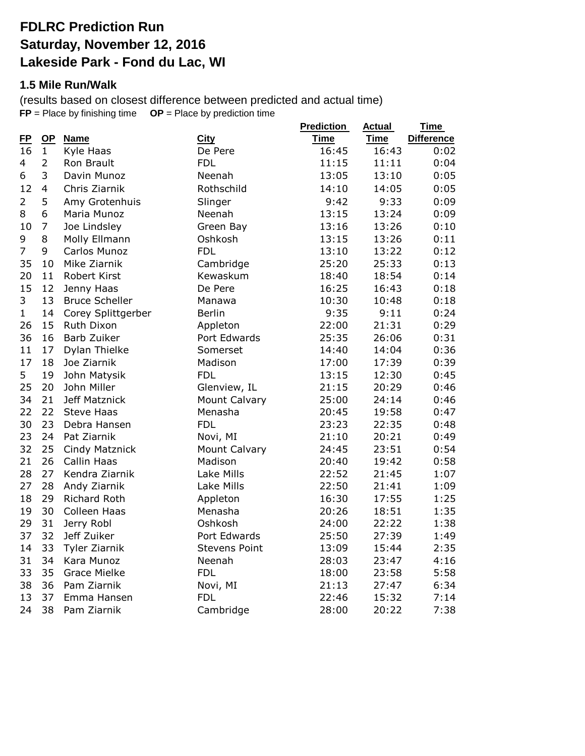## **FDLRC Prediction Run Saturday, November 12, 2016 Lakeside Park - Fond du Lac, WI**

#### **1.5 Mile Run/Walk**

(results based on closest difference between predicted and actual time) **FP** = Place by finishing time **OP** = Place by prediction time **Prediction Actual** 

|                |                |                       |                      | <b>Prediction</b> | <b>Actual</b> | <b>Time</b>       |
|----------------|----------------|-----------------------|----------------------|-------------------|---------------|-------------------|
| E              | <b>OP</b>      | <b>Name</b>           | <b>City</b>          | <b>Time</b>       | <b>Time</b>   | <b>Difference</b> |
| 16             | $\mathbf{1}$   | Kyle Haas             | De Pere              | 16:45             | 16:43         | 0:02              |
| 4              | $\overline{2}$ | Ron Brault            | <b>FDL</b>           | 11:15             | 11:11         | 0:04              |
| 6              | 3              | Davin Munoz           | Neenah               | 13:05             | 13:10         | 0:05              |
| 12             | $\overline{4}$ | Chris Ziarnik         | Rothschild           | 14:10             | 14:05         | 0:05              |
| $\overline{2}$ | 5              | Amy Grotenhuis        | Slinger              | 9:42              | 9:33          | 0:09              |
| 8              | 6              | Maria Munoz           | Neenah               | 13:15             | 13:24         | 0:09              |
| 10             | $\overline{7}$ | Joe Lindsley          | Green Bay            | 13:16             | 13:26         | 0:10              |
| 9              | 8              | Molly Ellmann         | Oshkosh              | 13:15             | 13:26         | 0:11              |
| $\overline{7}$ | 9              | Carlos Munoz          | <b>FDL</b>           | 13:10             | 13:22         | 0:12              |
| 35             | 10             | Mike Ziarnik          | Cambridge            | 25:20             | 25:33         | 0:13              |
| 20             | 11             | <b>Robert Kirst</b>   | Kewaskum             | 18:40             | 18:54         | 0:14              |
| 15             | 12             | Jenny Haas            | De Pere              | 16:25             | 16:43         | 0:18              |
| 3              | 13             | <b>Bruce Scheller</b> | Manawa               | 10:30             | 10:48         | 0:18              |
| $\mathbf{1}$   | 14             | Corey Splittgerber    | <b>Berlin</b>        | 9:35              | 9:11          | 0:24              |
| 26             | 15             | Ruth Dixon            | Appleton             | 22:00             | 21:31         | 0:29              |
| 36             | 16             | Barb Zuiker           | Port Edwards         | 25:35             | 26:06         | 0:31              |
| 11             | 17             | Dylan Thielke         | Somerset             | 14:40             | 14:04         | 0:36              |
| 17             | 18             | Joe Ziarnik           | Madison              | 17:00             | 17:39         | 0:39              |
| 5              | 19             | John Matysik          | <b>FDL</b>           | 13:15             | 12:30         | 0:45              |
| 25             | 20             | John Miller           | Glenview, IL         | 21:15             | 20:29         | 0:46              |
| 34             | 21             | Jeff Matznick         | <b>Mount Calvary</b> | 25:00             | 24:14         | 0:46              |
| 22             | 22             | <b>Steve Haas</b>     | Menasha              | 20:45             | 19:58         | 0:47              |
| 30             | 23             | Debra Hansen          | <b>FDL</b>           | 23:23             | 22:35         | 0:48              |
| 23             | 24             | Pat Ziarnik           | Novi, MI             | 21:10             | 20:21         | 0:49              |
| 32             | 25             | Cindy Matznick        | <b>Mount Calvary</b> | 24:45             | 23:51         | 0:54              |
| 21             | 26             | Callin Haas           | Madison              | 20:40             | 19:42         | 0:58              |
| 28             | 27             | Kendra Ziarnik        | Lake Mills           | 22:52             | 21:45         | 1:07              |
| 27             | 28             | Andy Ziarnik          | Lake Mills           | 22:50             | 21:41         | 1:09              |
| 18             | 29             | Richard Roth          | Appleton             | 16:30             | 17:55         | 1:25              |
| 19             | 30             | Colleen Haas          | Menasha              | 20:26             | 18:51         | 1:35              |
| 29             | 31             | Jerry Robl            | Oshkosh              | 24:00             | 22:22         | 1:38              |
| 37             | 32             | Jeff Zuiker           | Port Edwards         | 25:50             | 27:39         | 1:49              |
| 14             | 33             | Tyler Ziarnik         | <b>Stevens Point</b> | 13:09             | 15:44         | 2:35              |
| 31             | 34             | Kara Munoz            | Neenah               | 28:03             | 23:47         | 4:16              |
| 33             | 35             | <b>Grace Mielke</b>   | <b>FDL</b>           | 18:00             | 23:58         | 5:58              |
| 38             | 36             | Pam Ziarnik           | Novi, MI             | 21:13             | 27:47         | 6:34              |
| 13             | 37             | Emma Hansen           | <b>FDL</b>           | 22:46             | 15:32         | 7:14              |
| 24             | 38             | Pam Ziarnik           | Cambridge            | 28:00             | 20:22         | 7:38              |